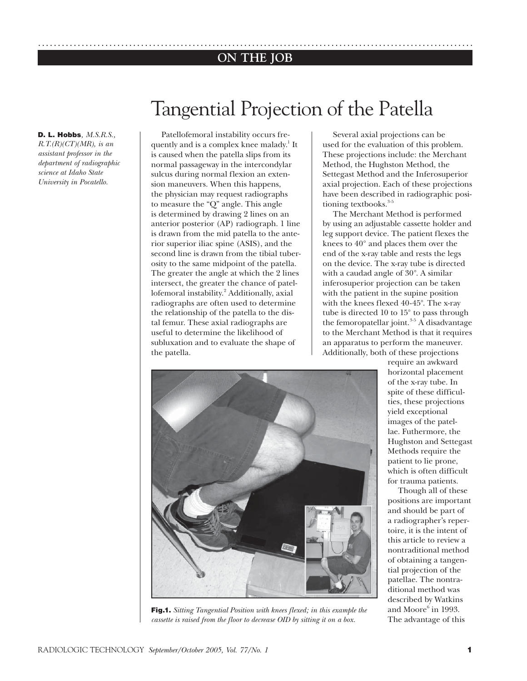# **ON THE JOB** ..............................................................................................................

**D. L. Hobbs***, M.S.R.S.,* 

*R.T.(R)(CT)(MR), is an assistant professor in the department of radiographic science at Idaho State University in Pocatello.*

# Tangential Projection of the Patella

Patellofemoral instability occurs frequently and is a complex knee malady.<sup>1</sup> It is caused when the patella slips from its normal passageway in the intercondylar sulcus during normal flexion an extension maneuvers. When this happens, the physician may request radiographs to measure the "Q" angle. This angle is determined by drawing 2 lines on an anterior posterior (AP) radiograph. 1 line is drawn from the mid patella to the anterior superior iliac spine (ASIS), and the second line is drawn from the tibial tuberosity to the same midpoint of the patella. The greater the angle at which the 2 lines intersect, the greater the chance of patellofemoral instability.<sup>2</sup> Additionally, axial radiographs are often used to determine the relationship of the patella to the distal femur. These axial radiographs are useful to determine the likelihood of subluxation and to evaluate the shape of the patella.

Several axial projections can be used for the evaluation of this problem. These projections include: the Merchant Method, the Hughston Method, the Settegast Method and the Inferosuperior axial projection. Each of these projections have been described in radiographic positioning textbooks. $3-5$ 

The Merchant Method is performed by using an adjustable cassette holder and leg support device. The patient flexes the knees to 40° and places them over the end of the x-ray table and rests the legs on the device. The x-ray tube is directed with a caudad angle of 30°. A similar inferosuperior projection can be taken with the patient in the supine position with the knees flexed 40-45°. The x-ray tube is directed 10 to 15° to pass through the femoropatellar joint. $3-5$  A disadvantage to the Merchant Method is that it requires an apparatus to perform the maneuver. Additionally, both of these projections



**Fig.1.** *Sitting Tangential Position with knees flexed; in this example the cassette is raised from the floor to decrease OID by sitting it on a box.*

require an awkward horizontal placement of the x-ray tube. In spite of these difficulties, these projections yield exceptional images of the patellae. Futhermore, the Hughston and Settegast Methods require the patient to lie prone, which is often difficult for trauma patients.

Though all of these positions are important and should be part of a radiographer's repertoire, it is the intent of this article to review a nontraditional method of obtaining a tangential projection of the patellae. The nontraditional method was described by Watkins and Moore $^6$  in 1993. The advantage of this